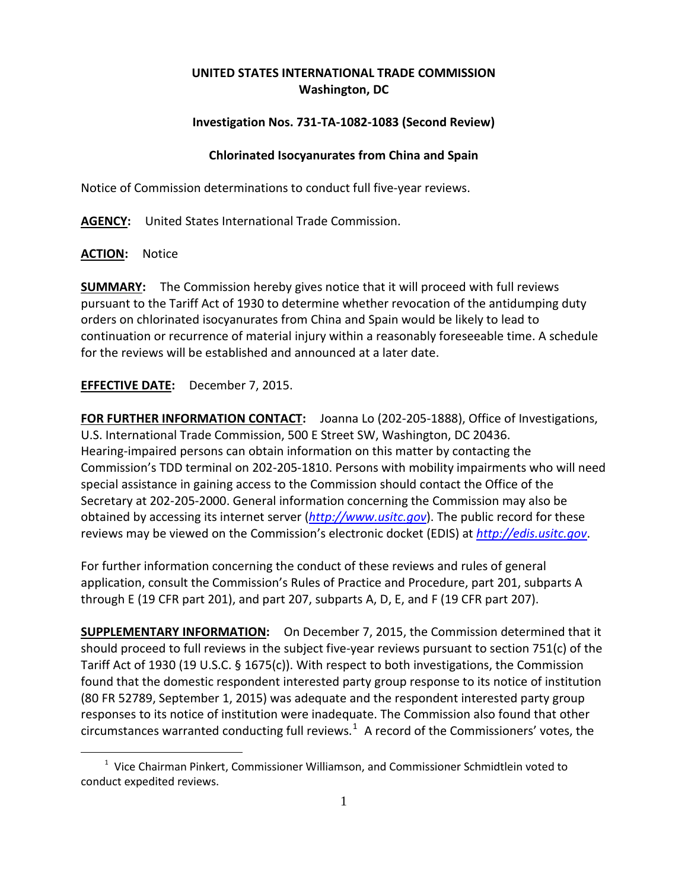## **UNITED STATES INTERNATIONAL TRADE COMMISSION Washington, DC**

## **Investigation Nos. 731-TA-1082-1083 (Second Review)**

## **Chlorinated Isocyanurates from China and Spain**

Notice of Commission determinations to conduct full five-year reviews.

**AGENCY:** United States International Trade Commission.

**ACTION:** Notice

 $\overline{a}$ 

**SUMMARY:** The Commission hereby gives notice that it will proceed with full reviews pursuant to the Tariff Act of 1930 to determine whether revocation of the antidumping duty orders on chlorinated isocyanurates from China and Spain would be likely to lead to continuation or recurrence of material injury within a reasonably foreseeable time. A schedule for the reviews will be established and announced at a later date.

**EFFECTIVE DATE:** December 7, 2015.

**FOR FURTHER INFORMATION CONTACT:** Joanna Lo (202-205-1888), Office of Investigations, U.S. International Trade Commission, 500 E Street SW, Washington, DC 20436. Hearing-impaired persons can obtain information on this matter by contacting the Commission's TDD terminal on 202-205-1810. Persons with mobility impairments who will need special assistance in gaining access to the Commission should contact the Office of the Secretary at 202-205-2000. General information concerning the Commission may also be obtained by accessing its internet server (*[http://www.usitc.gov](http://www.usitc.gov/)*). The public record for these reviews may be viewed on the Commission's electronic docket (EDIS) at *[http://edis.usitc.gov](http://edis.usitc.gov/)*.

For further information concerning the conduct of these reviews and rules of general application, consult the Commission's Rules of Practice and Procedure, part 201, subparts A through E (19 CFR part 201), and part 207, subparts A, D, E, and F (19 CFR part 207).

**SUPPLEMENTARY INFORMATION:** On December 7, 2015, the Commission determined that it should proceed to full reviews in the subject five-year reviews pursuant to section 751(c) of the Tariff Act of 1930 (19 U.S.C. § 1675(c)). With respect to both investigations, the Commission found that the domestic respondent interested party group response to its notice of institution (80 FR 52789, September 1, 2015) was adequate and the respondent interested party group responses to its notice of institution were inadequate. The Commission also found that other circumstances warranted conducting full reviews. $^1$  $^1$  A record of the Commissioners' votes, the

<span id="page-0-0"></span> $1$  Vice Chairman Pinkert, Commissioner Williamson, and Commissioner Schmidtlein voted to conduct expedited reviews.